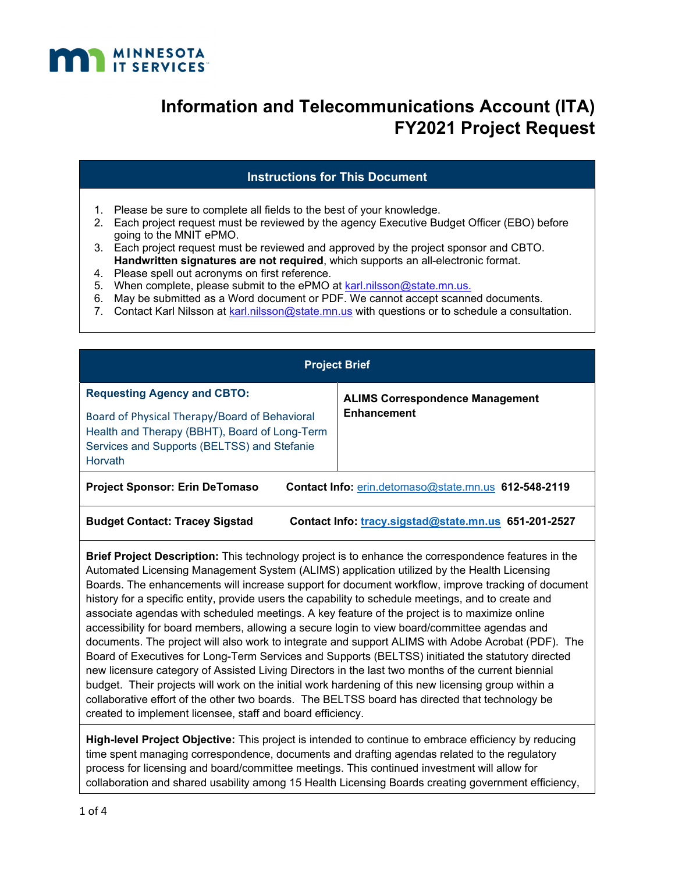

### **Instructions for This Document**

- 1. Please be sure to complete all fields to the best of your knowledge.
- 2. Each project request must be reviewed by the agency Executive Budget Officer (EBO) before going to the MNIT ePMO.
- 3. Each project request must be reviewed and approved by the project sponsor and CBTO. **Handwritten signatures are not required**, which supports an all-electronic format.
- 4. Please spell out acronyms on first reference.
- 5. When complete, please submit to the ePMO at karl.nilsson@state.mn.us.
- 6. May be submitted as a Word document or PDF. We cannot accept scanned documents.
- 7. Contact Karl Nilsson at karl.nilsson@state.mn.us with questions or to schedule a consultation.

| <b>Project Brief</b>                                                                                                                                                                           |                                                              |  |
|------------------------------------------------------------------------------------------------------------------------------------------------------------------------------------------------|--------------------------------------------------------------|--|
| <b>Requesting Agency and CBTO:</b><br>Board of Physical Therapy/Board of Behavioral<br>Health and Therapy (BBHT), Board of Long-Term<br>Services and Supports (BELTSS) and Stefanie<br>Horvath | <b>ALIMS Correspondence Management</b><br><b>Enhancement</b> |  |
| <b>Project Sponsor: Erin DeTomaso</b><br>Contact Info: erin.detomaso@state.mn.us 612-548-2119                                                                                                  |                                                              |  |
| <b>Budget Contact: Tracey Sigstad</b>                                                                                                                                                          | Contact Info: tracy.sigstad@state.mn.us 651-201-2527         |  |

**Brief Project Description:** This technology project is to enhance the correspondence features in the Automated Licensing Management System (ALIMS) application utilized by the Health Licensing Boards. The enhancements will increase support for document workflow, improve tracking of document history for a specific entity, provide users the capability to schedule meetings, and to create and associate agendas with scheduled meetings. A key feature of the project is to maximize online accessibility for board members, allowing a secure login to view board/committee agendas and documents. The project will also work to integrate and support ALIMS with Adobe Acrobat (PDF). The Board of Executives for Long-Term Services and Supports (BELTSS) initiated the statutory directed new licensure category of Assisted Living Directors in the last two months of the current biennial budget. Their projects will work on the initial work hardening of this new licensing group within a collaborative effort of the other two boards. The BELTSS board has directed that technology be created to implement licensee, staff and board efficiency.

**High-level Project Objective:** This project is intended to continue to embrace efficiency by reducing time spent managing correspondence, documents and drafting agendas related to the regulatory process for licensing and board/committee meetings. This continued investment will allow for collaboration and shared usability among 15 Health Licensing Boards creating government efficiency,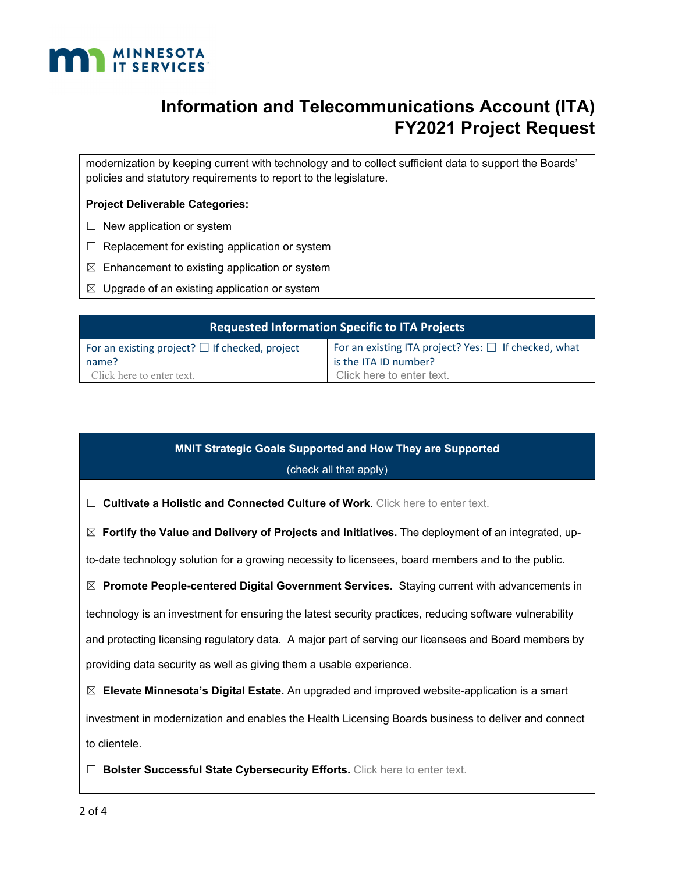

modernization by keeping current with technology and to collect sufficient data to support the Boards' policies and statutory requirements to report to the legislature.

#### **Project Deliverable Categories:**

- $\Box$  New application or system
- $\Box$  Replacement for existing application or system
- $\boxtimes$  Enhancement to existing application or system
- $\boxtimes$  Upgrade of an existing application or system

| <b>Requested Information Specific to ITA Projects</b>        |                                                                                    |  |
|--------------------------------------------------------------|------------------------------------------------------------------------------------|--|
| For an existing project? $\Box$ If checked, project<br>name? | For an existing ITA project? Yes: $\Box$ If checked, what<br>is the ITA ID number? |  |
| Click here to enter text.                                    | Click here to enter text.                                                          |  |

## **MNIT Strategic Goals Supported and How They are Supported**

#### (check all that apply)

☐ **Cultivate a Holistic and Connected Culture of Work**. Click here to enter text.

☒ **Fortify the Value and Delivery of Projects and Initiatives.** The deployment of an integrated, up-

to-date technology solution for a growing necessity to licensees, board members and to the public.

☒ **Promote People-centered Digital Government Services.** Staying current with advancements in

technology is an investment for ensuring the latest security practices, reducing software vulnerability

and protecting licensing regulatory data. A major part of serving our licensees and Board members by providing data security as well as giving them a usable experience.

☒ **Elevate Minnesota's Digital Estate.** An upgraded and improved website-application is a smart

investment in modernization and enables the Health Licensing Boards business to deliver and connect to clientele.

□ **Bolster Successful State Cybersecurity Efforts.** Click here to enter text.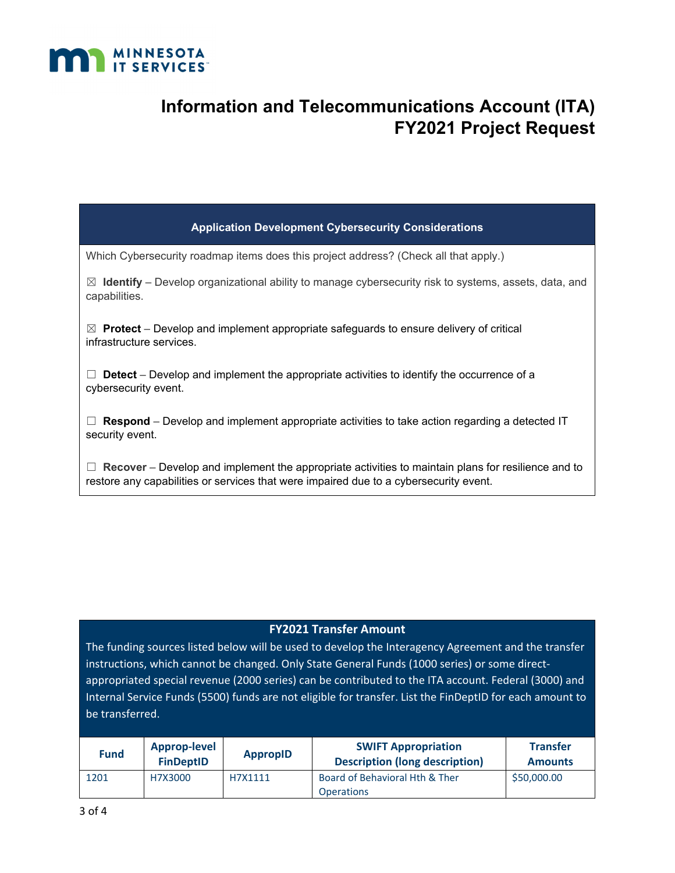

| <b>Application Development Cybersecurity Considerations</b>                                                                       |
|-----------------------------------------------------------------------------------------------------------------------------------|
| Which Cybersecurity roadmap items does this project address? (Check all that apply.)                                              |
| $\boxtimes$ Identify – Develop organizational ability to manage cybersecurity risk to systems, assets, data, and<br>capabilities. |
| $\boxtimes$ Protect – Develop and implement appropriate safeguards to ensure delivery of critical<br>infrastructure services.     |

☐ **Detect** – Develop and implement the appropriate activities to identify the occurrence of a cybersecurity event.

 $\Box$  **Respond** – Develop and implement appropriate activities to take action regarding a detected IT security event.

☐ **Recover** – Develop and implement the appropriate activities to maintain plans for resilience and to restore any capabilities or services that were impaired due to a cybersecurity event.

### **FY2021 Transfer Amount**

The funding sources listed below will be used to develop the Interagency Agreement and the transfer instructions, which cannot be changed. Only State General Funds (1000 series) or some directappropriated special revenue (2000 series) can be contributed to the ITA account. Federal (3000) and Internal Service Funds (5500) funds are not eligible for transfer. List the FinDeptID for each amount to be transferred.

| <b>Fund</b> | Approp-level<br><b>FinDeptID</b> | <b>AppropID</b> | <b>SWIFT Appropriation</b><br><b>Description (long description)</b> | <b>Transfer</b><br><b>Amounts</b> |
|-------------|----------------------------------|-----------------|---------------------------------------------------------------------|-----------------------------------|
| 1201        | H7X3000                          | H7X1111         | Board of Behavioral Hth & Ther<br><b>Operations</b>                 | \$50,000.00                       |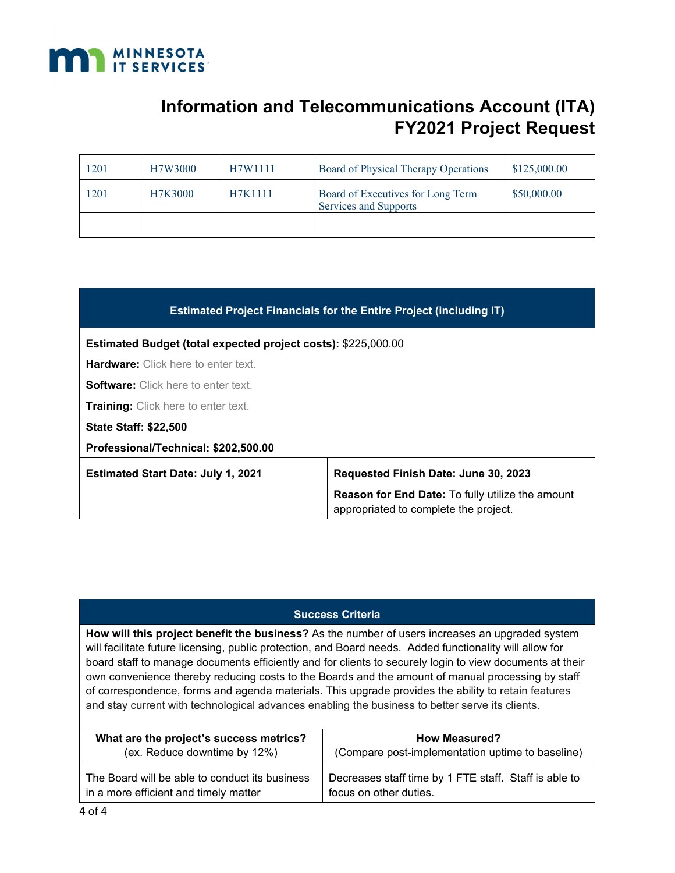

| 1201 | H7W3000 | H7W1111 | Board of Physical Therapy Operations                       | \$125,000.00 |
|------|---------|---------|------------------------------------------------------------|--------------|
| 1201 | H7K3000 | H7K1111 | Board of Executives for Long Term<br>Services and Supports | \$50,000.00  |
|      |         |         |                                                            |              |

| <b>Estimated Project Financials for the Entire Project (including IT)</b> |                                                                                                  |  |
|---------------------------------------------------------------------------|--------------------------------------------------------------------------------------------------|--|
| <b>Estimated Budget (total expected project costs): \$225,000.00</b>      |                                                                                                  |  |
| <b>Hardware:</b> Click here to enter text.                                |                                                                                                  |  |
| <b>Software</b> Click here to enter text.                                 |                                                                                                  |  |
| Training: Click here to enter text.                                       |                                                                                                  |  |
| <b>State Staff: \$22,500</b>                                              |                                                                                                  |  |
| Professional/Technical: \$202,500.00                                      |                                                                                                  |  |
| <b>Estimated Start Date: July 1, 2021</b>                                 | Requested Finish Date: June 30, 2023                                                             |  |
|                                                                           | <b>Reason for End Date: To fully utilize the amount</b><br>appropriated to complete the project. |  |

### **Success Criteria**

**How will this project benefit the business?** As the number of users increases an upgraded system will facilitate future licensing, public protection, and Board needs. Added functionality will allow for board staff to manage documents efficiently and for clients to securely login to view documents at their own convenience thereby reducing costs to the Boards and the amount of manual processing by staff of correspondence, forms and agenda materials. This upgrade provides the ability to retain features and stay current with technological advances enabling the business to better serve its clients.

| What are the project's success metrics?        | <b>How Measured?</b>                                  |
|------------------------------------------------|-------------------------------------------------------|
| (ex. Reduce downtime by 12%)                   | (Compare post-implementation uptime to baseline)      |
| The Board will be able to conduct its business | Decreases staff time by 1 FTE staff. Staff is able to |
| in a more efficient and timely matter          | focus on other duties.                                |